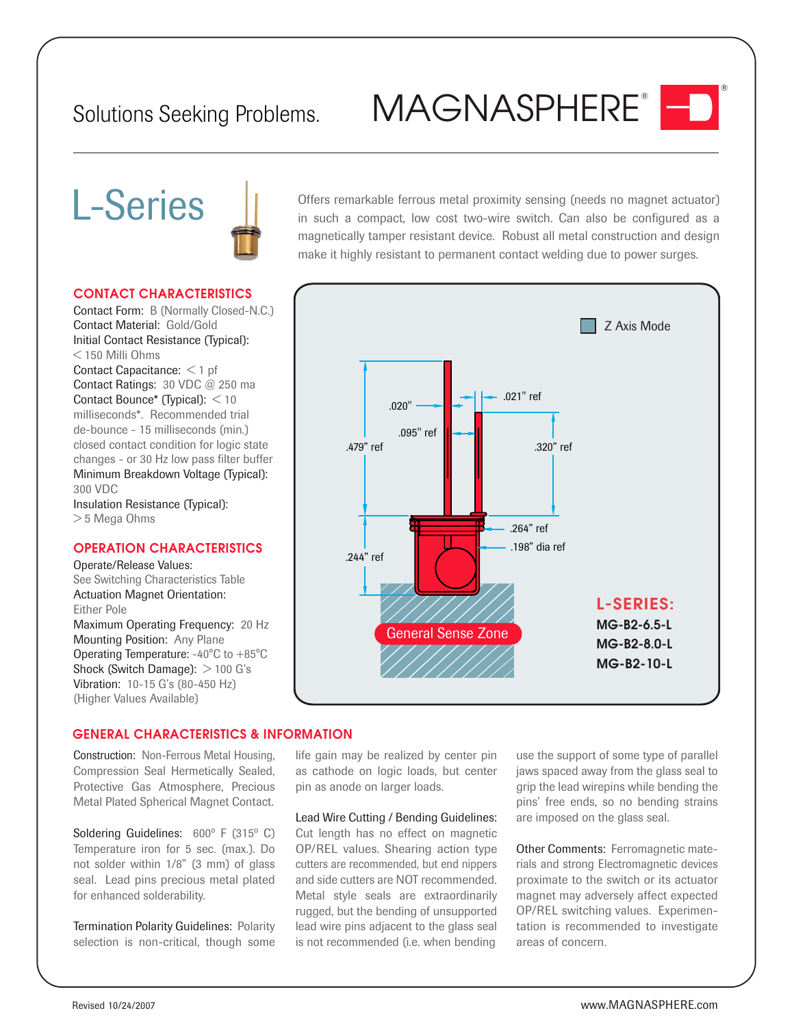## Solutions Seeking Problems. MAGNASPHERE<sup>®</sup>

®

# L-Series



**CONTACT CHARACTERISTICS**

Contact Form: B (Normally Closed-N.C.) Contact Material: Gold/Gold Initial Contact Resistance (Typical): < 150 Milli Ohms Contact Capacitance: < 1 pf Contact Ratings: 30 VDC @ 250 ma Contact Bounce\* (Typical): < 10 milliseconds\*. Recommended trial de-bounce - 15 milliseconds (min.) closed contact condition for logic state changes - or 30 Hz low pass filter buffer Minimum Breakdown Voltage (Typical): 300 VDC Insulation Resistance (Typical): > 5 Mega Ohms

### **OPERATION CHARACTERISTICS**

Operate/Release Values: See Switching Characteristics Table Actuation Magnet Orientation: Either Pole Maximum Operating Frequency: 20 Hz Mounting Position: Any Plane Operating Temperature: -40°C to +85°C Shock (Switch Damage):  $>$  100 G's Vibration: 10-15 G's (80-450 Hz) (Higher Values Available)

Offers remarkable ferrous metal proximity sensing (needs no magnet actuator) in such a compact, low cost two-wire switch. Can also be configured as a magnetically tamper resistant device. Robust all metal construction and design make it highly resistant to permanent contact welding due to power surges.



#### **GENERAL CHARACTERISTICS & INFORMATION**

Construction: Non-Ferrous Metal Housing, Compression Seal Hermetically Sealed, Protective Gas Atmosphere, Precious Metal Plated Spherical Magnet Contact.

Soldering Guidelines: 600º F (315º C) Temperature iron for 5 sec. (max.). Do not solder within 1/8" (3 mm) of glass seal. Lead pins precious metal plated for enhanced solderability.

Termination Polarity Guidelines: Polarity selection is non-critical, though some life gain may be realized by center pin as cathode on logic loads, but center pin as anode on larger loads.

Lead Wire Cutting / Bending Guidelines: Cut length has no effect on magnetic OP/REL values. Shearing action type cutters are recommended, but end nippers and side cutters are NOT recommended. Metal style seals are extraordinarily rugged, but the bending of unsupported lead wire pins adjacent to the glass seal is not recommended (i.e. when bending

use the support of some type of parallel jaws spaced away from the glass seal to grip the lead wirepins while bending the pins' free ends, so no bending strains are imposed on the glass seal.

Other Comments: Ferromagnetic materials and strong Electromagnetic devices proximate to the switch or its actuator magnet may adversely affect expected OP/REL switching values. Experimentation is recommended to investigate areas of concern.